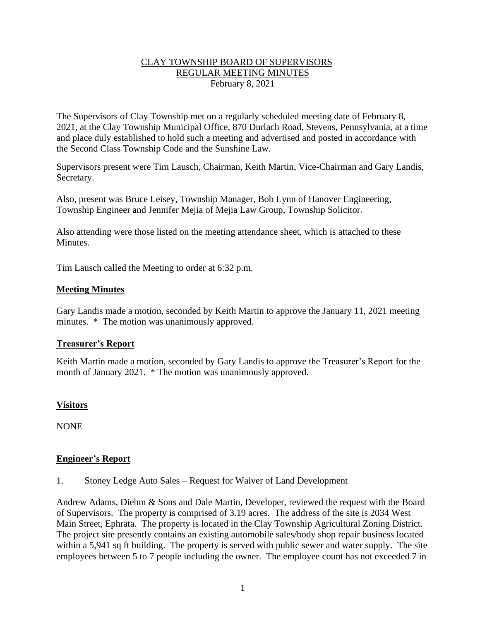# CLAY TOWNSHIP BOARD OF SUPERVISORS REGULAR MEETING MINUTES February 8, 2021

The Supervisors of Clay Township met on a regularly scheduled meeting date of February 8, 2021, at the Clay Township Municipal Office, 870 Durlach Road, Stevens, Pennsylvania, at a time and place duly established to hold such a meeting and advertised and posted in accordance with the Second Class Township Code and the Sunshine Law.

Supervisors present were Tim Lausch, Chairman, Keith Martin, Vice-Chairman and Gary Landis, Secretary.

Also, present was Bruce Leisey, Township Manager, Bob Lynn of Hanover Engineering, Township Engineer and Jennifer Mejia of Mejia Law Group, Township Solicitor.

Also attending were those listed on the meeting attendance sheet, which is attached to these Minutes.

Tim Lausch called the Meeting to order at 6:32 p.m.

## **Meeting Minutes**

Gary Landis made a motion, seconded by Keith Martin to approve the January 11, 2021 meeting minutes. \* The motion was unanimously approved.

## **Treasurer's Report**

Keith Martin made a motion, seconded by Gary Landis to approve the Treasurer's Report for the month of January 2021. \* The motion was unanimously approved.

# **Visitors**

**NONE** 

# **Engineer's Report**

1. Stoney Ledge Auto Sales – Request for Waiver of Land Development

Andrew Adams, Diehm & Sons and Dale Martin, Developer, reviewed the request with the Board of Supervisors. The property is comprised of 3.19 acres. The address of the site is 2034 West Main Street, Ephrata. The property is located in the Clay Township Agricultural Zoning District. The project site presently contains an existing automobile sales/body shop repair business located within a 5,941 sq ft building. The property is served with public sewer and water supply. The site employees between 5 to 7 people including the owner. The employee count has not exceeded 7 in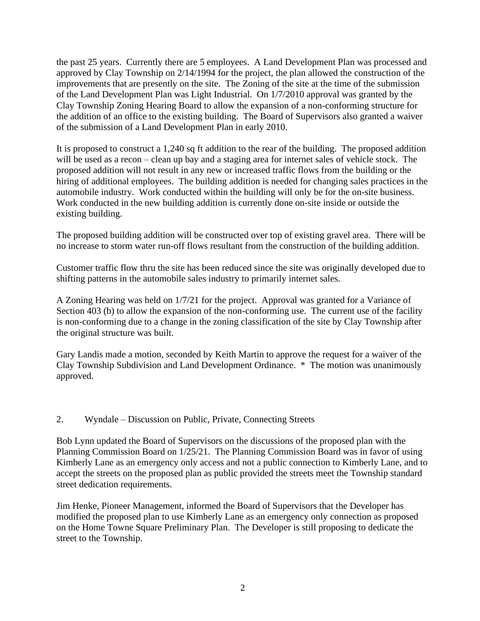the past 25 years. Currently there are 5 employees. A Land Development Plan was processed and approved by Clay Township on 2/14/1994 for the project, the plan allowed the construction of the improvements that are presently on the site. The Zoning of the site at the time of the submission of the Land Development Plan was Light Industrial. On 1/7/2010 approval was granted by the Clay Township Zoning Hearing Board to allow the expansion of a non-conforming structure for the addition of an office to the existing building. The Board of Supervisors also granted a waiver of the submission of a Land Development Plan in early 2010.

It is proposed to construct a 1,240 sq ft addition to the rear of the building. The proposed addition will be used as a recon – clean up bay and a staging area for internet sales of vehicle stock. The proposed addition will not result in any new or increased traffic flows from the building or the hiring of additional employees. The building addition is needed for changing sales practices in the automobile industry. Work conducted within the building will only be for the on-site business. Work conducted in the new building addition is currently done on-site inside or outside the existing building.

The proposed building addition will be constructed over top of existing gravel area. There will be no increase to storm water run-off flows resultant from the construction of the building addition.

Customer traffic flow thru the site has been reduced since the site was originally developed due to shifting patterns in the automobile sales industry to primarily internet sales.

A Zoning Hearing was held on 1/7/21 for the project. Approval was granted for a Variance of Section 403 (b) to allow the expansion of the non-conforming use. The current use of the facility is non-conforming due to a change in the zoning classification of the site by Clay Township after the original structure was built.

Gary Landis made a motion, seconded by Keith Martin to approve the request for a waiver of the Clay Township Subdivision and Land Development Ordinance. \* The motion was unanimously approved.

2. Wyndale – Discussion on Public, Private, Connecting Streets

Bob Lynn updated the Board of Supervisors on the discussions of the proposed plan with the Planning Commission Board on 1/25/21. The Planning Commission Board was in favor of using Kimberly Lane as an emergency only access and not a public connection to Kimberly Lane, and to accept the streets on the proposed plan as public provided the streets meet the Township standard street dedication requirements.

Jim Henke, Pioneer Management, informed the Board of Supervisors that the Developer has modified the proposed plan to use Kimberly Lane as an emergency only connection as proposed on the Home Towne Square Preliminary Plan. The Developer is still proposing to dedicate the street to the Township.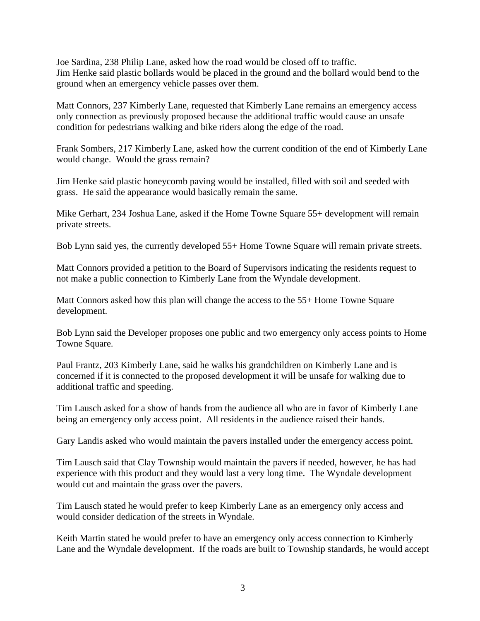Joe Sardina, 238 Philip Lane, asked how the road would be closed off to traffic. Jim Henke said plastic bollards would be placed in the ground and the bollard would bend to the ground when an emergency vehicle passes over them.

Matt Connors, 237 Kimberly Lane, requested that Kimberly Lane remains an emergency access only connection as previously proposed because the additional traffic would cause an unsafe condition for pedestrians walking and bike riders along the edge of the road.

Frank Sombers, 217 Kimberly Lane, asked how the current condition of the end of Kimberly Lane would change. Would the grass remain?

Jim Henke said plastic honeycomb paving would be installed, filled with soil and seeded with grass. He said the appearance would basically remain the same.

Mike Gerhart, 234 Joshua Lane, asked if the Home Towne Square 55+ development will remain private streets.

Bob Lynn said yes, the currently developed 55+ Home Towne Square will remain private streets.

Matt Connors provided a petition to the Board of Supervisors indicating the residents request to not make a public connection to Kimberly Lane from the Wyndale development.

Matt Connors asked how this plan will change the access to the 55+ Home Towne Square development.

Bob Lynn said the Developer proposes one public and two emergency only access points to Home Towne Square.

Paul Frantz, 203 Kimberly Lane, said he walks his grandchildren on Kimberly Lane and is concerned if it is connected to the proposed development it will be unsafe for walking due to additional traffic and speeding.

Tim Lausch asked for a show of hands from the audience all who are in favor of Kimberly Lane being an emergency only access point. All residents in the audience raised their hands.

Gary Landis asked who would maintain the pavers installed under the emergency access point.

Tim Lausch said that Clay Township would maintain the pavers if needed, however, he has had experience with this product and they would last a very long time. The Wyndale development would cut and maintain the grass over the pavers.

Tim Lausch stated he would prefer to keep Kimberly Lane as an emergency only access and would consider dedication of the streets in Wyndale.

Keith Martin stated he would prefer to have an emergency only access connection to Kimberly Lane and the Wyndale development. If the roads are built to Township standards, he would accept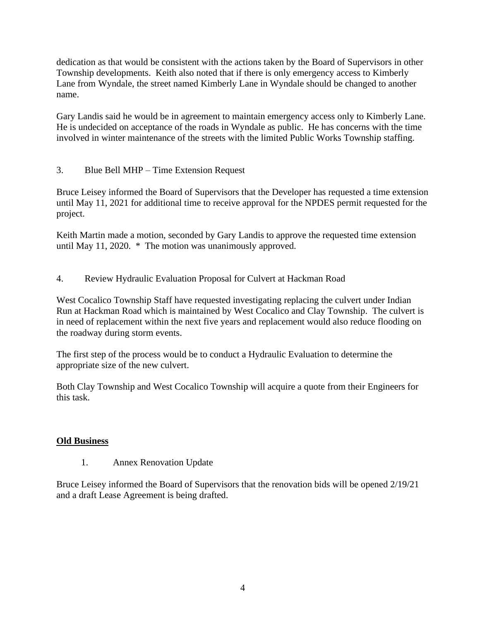dedication as that would be consistent with the actions taken by the Board of Supervisors in other Township developments. Keith also noted that if there is only emergency access to Kimberly Lane from Wyndale, the street named Kimberly Lane in Wyndale should be changed to another name.

Gary Landis said he would be in agreement to maintain emergency access only to Kimberly Lane. He is undecided on acceptance of the roads in Wyndale as public. He has concerns with the time involved in winter maintenance of the streets with the limited Public Works Township staffing.

3. Blue Bell MHP – Time Extension Request

Bruce Leisey informed the Board of Supervisors that the Developer has requested a time extension until May 11, 2021 for additional time to receive approval for the NPDES permit requested for the project.

Keith Martin made a motion, seconded by Gary Landis to approve the requested time extension until May 11, 2020. \* The motion was unanimously approved.

4. Review Hydraulic Evaluation Proposal for Culvert at Hackman Road

West Cocalico Township Staff have requested investigating replacing the culvert under Indian Run at Hackman Road which is maintained by West Cocalico and Clay Township. The culvert is in need of replacement within the next five years and replacement would also reduce flooding on the roadway during storm events.

The first step of the process would be to conduct a Hydraulic Evaluation to determine the appropriate size of the new culvert.

Both Clay Township and West Cocalico Township will acquire a quote from their Engineers for this task.

# **Old Business**

1. Annex Renovation Update

Bruce Leisey informed the Board of Supervisors that the renovation bids will be opened 2/19/21 and a draft Lease Agreement is being drafted.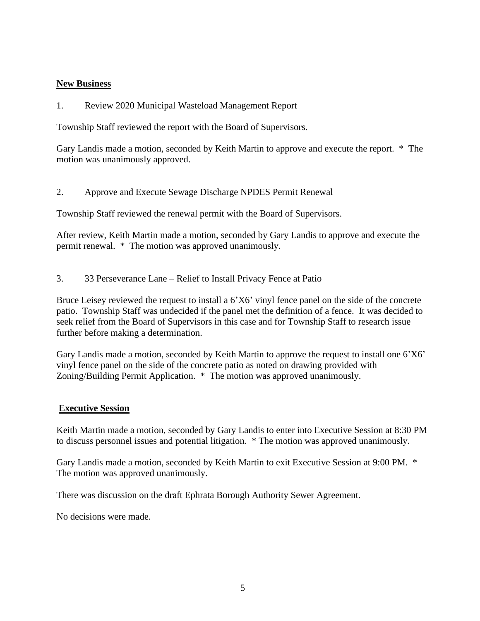# **New Business**

1. Review 2020 Municipal Wasteload Management Report

Township Staff reviewed the report with the Board of Supervisors.

Gary Landis made a motion, seconded by Keith Martin to approve and execute the report. \* The motion was unanimously approved.

2. Approve and Execute Sewage Discharge NPDES Permit Renewal

Township Staff reviewed the renewal permit with the Board of Supervisors.

After review, Keith Martin made a motion, seconded by Gary Landis to approve and execute the permit renewal. \* The motion was approved unanimously.

3. 33 Perseverance Lane – Relief to Install Privacy Fence at Patio

Bruce Leisey reviewed the request to install a 6'X6' vinyl fence panel on the side of the concrete patio. Township Staff was undecided if the panel met the definition of a fence. It was decided to seek relief from the Board of Supervisors in this case and for Township Staff to research issue further before making a determination.

Gary Landis made a motion, seconded by Keith Martin to approve the request to install one 6'X6' vinyl fence panel on the side of the concrete patio as noted on drawing provided with Zoning/Building Permit Application. \* The motion was approved unanimously.

## **Executive Session**

Keith Martin made a motion, seconded by Gary Landis to enter into Executive Session at 8:30 PM to discuss personnel issues and potential litigation. \* The motion was approved unanimously.

Gary Landis made a motion, seconded by Keith Martin to exit Executive Session at 9:00 PM. \* The motion was approved unanimously.

There was discussion on the draft Ephrata Borough Authority Sewer Agreement.

No decisions were made.